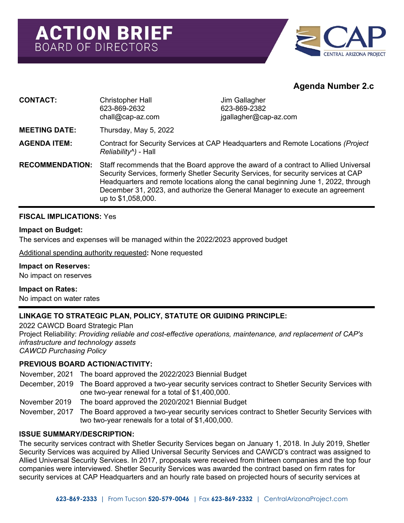

# **Agenda Number 2.c**

| <b>CONTACT:</b>        | <b>Christopher Hall</b><br>623-869-2632<br>chall@cap-az.com                                                                                                                                                                                                                                                                                                           | Jim Gallagher<br>623-869-2382<br>jgallagher@cap-az.com |
|------------------------|-----------------------------------------------------------------------------------------------------------------------------------------------------------------------------------------------------------------------------------------------------------------------------------------------------------------------------------------------------------------------|--------------------------------------------------------|
| <b>MEETING DATE:</b>   | Thursday, May 5, 2022                                                                                                                                                                                                                                                                                                                                                 |                                                        |
| <b>AGENDA ITEM:</b>    | Contract for Security Services at CAP Headquarters and Remote Locations (Project<br>Reliability <sup>^</sup> ) - Hall                                                                                                                                                                                                                                                 |                                                        |
| <b>RECOMMENDATION:</b> | Staff recommends that the Board approve the award of a contract to Allied Universal<br>Security Services, formerly Shetler Security Services, for security services at CAP<br>Headquarters and remote locations along the canal beginning June 1, 2022, through<br>December 31, 2023, and authorize the General Manager to execute an agreement<br>up to \$1,058,000. |                                                        |

## **FISCAL IMPLICATIONS:** Yes

#### **Impact on Budget:**

The services and expenses will be managed within the 2022/2023 approved budget

Additional spending authority requested**:** None requested

### **Impact on Reserves:**

No impact on reserves

### **Impact on Rates:**

No impact on water rates

## **LINKAGE TO STRATEGIC PLAN, POLICY, STATUTE OR GUIDING PRINCIPLE:**

2022 CAWCD Board Strategic Plan Project Reliability: *Providing reliable and cost-effective operations, maintenance, and replacement of CAP's infrastructure and technology assets CAWCD Purchasing Policy*

### **PREVIOUS BOARD ACTION/ACTIVITY:**

November, 2021 The board approved the 2022/2023 Biennial Budget

- December, 2019 The Board approved a two-year security services contract to Shetler Security Services with one two-year renewal for a total of \$1,400,000.
- November 2019 The board approved the 2020/2021 Biennial Budget
- November, 2017 The Board approved a two-year security services contract to Shetler Security Services with two two-year renewals for a total of \$1,400,000.

## **ISSUE SUMMARY/DESCRIPTION:**

The security services contract with Shetler Security Services began on January 1, 2018. In July 2019, Shetler Security Services was acquired by Allied Universal Security Services and CAWCD's contract was assigned to Allied Universal Security Services. In 2017, proposals were received from thirteen companies and the top four companies were interviewed. Shetler Security Services was awarded the contract based on firm rates for security services at CAP Headquarters and an hourly rate based on projected hours of security services at